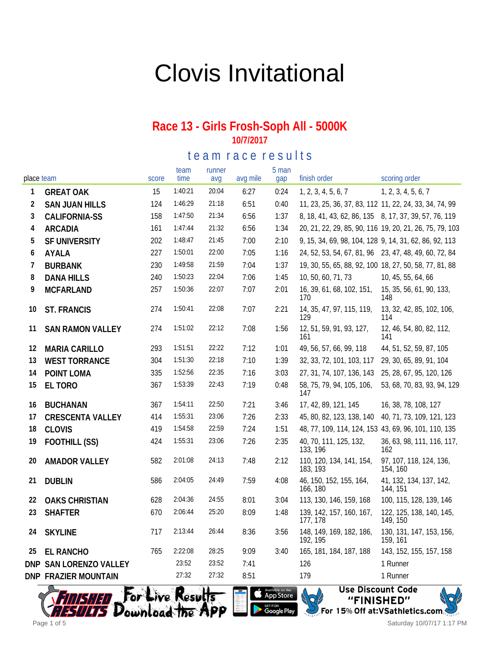# Clovis Invitational

#### **Race 13 - Girls Frosh-Soph All - 5000K 10/7/2017**

te am race results

| place team |                             | score | team<br>time | runner<br>avg | avg mile | 5 man<br>gap | finish order                                           | scoring order                                           |
|------------|-----------------------------|-------|--------------|---------------|----------|--------------|--------------------------------------------------------|---------------------------------------------------------|
| 1          | <b>GREAT OAK</b>            | 15    | 1:40:21      | 20:04         | 6:27     | 0:24         | 1, 2, 3, 4, 5, 6, 7                                    | 1, 2, 3, 4, 5, 6, 7                                     |
| 2          | <b>SAN JUAN HILLS</b>       | 124   | 1:46:29      | 21:18         | 6:51     | 0:40         | 11, 23, 25, 36, 37, 83, 112 11, 22, 24, 33, 34, 74, 99 |                                                         |
| 3          | <b>CALIFORNIA-SS</b>        | 158   | 1:47:50      | 21:34         | 6:56     | 1:37         | 8, 18, 41, 43, 62, 86, 135 8, 17, 37, 39, 57, 76, 119  |                                                         |
| 4          | <b>ARCADIA</b>              | 161   | 1:47:44      | 21:32         | 6:56     | 1:34         |                                                        | 20, 21, 22, 29, 85, 90, 116 19, 20, 21, 26, 75, 79, 103 |
| 5          | SF UNIVERSITY               | 202   | 1:48:47      | 21:45         | 7:00     | 2:10         | 9, 15, 34, 69, 98, 104, 128 9, 14, 31, 62, 86, 92, 113 |                                                         |
| 6          | AYALA                       | 227   | 1:50:01      | 22:00         | 7:05     | 1:16         | 24, 52, 53, 54, 67, 81, 96 23, 47, 48, 49, 60, 72, 84  |                                                         |
| 7          | <b>BURBANK</b>              | 230   | 1:49:58      | 21:59         | 7:04     | 1:37         | 19, 30, 55, 65, 88, 92, 100 18, 27, 50, 58, 77, 81, 88 |                                                         |
| 8          | <b>DANA HILLS</b>           | 240   | 1:50:23      | 22:04         | 7:06     | 1:45         | 10, 50, 60, 71, 73                                     | 10, 45, 55, 64, 66                                      |
| 9          | <b>MCFARLAND</b>            | 257   | 1:50:36      | 22:07         | 7:07     | 2:01         | 16, 39, 61, 68, 102, 151,<br>170                       | 15, 35, 56, 61, 90, 133,<br>148                         |
| 10         | <b>ST. FRANCIS</b>          | 274   | 1:50:41      | 22:08         | 7:07     | 2:21         | 14, 35, 47, 97, 115, 119,<br>129                       | 13, 32, 42, 85, 102, 106,<br>114                        |
| 11         | <b>SAN RAMON VALLEY</b>     | 274   | 1:51:02      | 22:12         | 7:08     | 1:56         | 12, 51, 59, 91, 93, 127,<br>161                        | 12, 46, 54, 80, 82, 112,<br>141                         |
| 12         | <b>MARIA CARILLO</b>        | 293   | 1:51:51      | 22:22         | 7:12     | 1:01         | 49, 56, 57, 66, 99, 118                                | 44, 51, 52, 59, 87, 105                                 |
| 13         | <b>WEST TORRANCE</b>        | 304   | 1:51:30      | 22:18         | 7:10     | 1:39         | 32, 33, 72, 101, 103, 117                              | 29, 30, 65, 89, 91, 104                                 |
| 14         | POINT LOMA                  | 335   | 1:52:56      | 22:35         | 7:16     | 3:03         | 27, 31, 74, 107, 136, 143                              | 25, 28, 67, 95, 120, 126                                |
| 15         | EL TORO                     | 367   | 1:53:39      | 22:43         | 7:19     | 0:48         | 58, 75, 79, 94, 105, 106,<br>147                       | 53, 68, 70, 83, 93, 94, 129                             |
| 16         | <b>BUCHANAN</b>             | 367   | 1:54:11      | 22:50         | 7:21     | 3:46         | 17, 42, 89, 121, 145                                   | 16, 38, 78, 108, 127                                    |
| 17         | <b>CRESCENTA VALLEY</b>     | 414   | 1:55:31      | 23:06         | 7:26     | 2:33         | 45, 80, 82, 123, 138, 140                              | 40, 71, 73, 109, 121, 123                               |
| 18         | <b>CLOVIS</b>               | 419   | 1:54:58      | 22:59         | 7:24     | 1:51         | 48, 77, 109, 114, 124, 153 43, 69, 96, 101, 110, 135   |                                                         |
| 19         | FOOTHILL (SS)               | 424   | 1:55:31      | 23:06         | 7:26     | 2:35         | 40, 70, 111, 125, 132,<br>133, 196                     | 36, 63, 98, 111, 116, 117,<br>162                       |
| 20         | <b>AMADOR VALLEY</b>        | 582   | 2:01:08      | 24:13         | 7:48     | 2:12         | 110, 120, 134, 141, 154,<br>183, 193                   | 97, 107, 118, 124, 136,<br>154, 160                     |
| 21         | <b>DUBLIN</b>               | 586   | 2:04:05      | 24:49         | 7:59     | 4:08         | 46, 150, 152, 155, 164,<br>166, 180                    | 41, 132, 134, 137, 142,<br>144, 151                     |
| 22         | <b>OAKS CHRISTIAN</b>       | 628   | 2:04:36      | 24:55         | 8:01     | 3:04         | 113, 130, 146, 159, 168                                | 100, 115, 128, 139, 146                                 |
| 23         | <b>SHAFTER</b>              | 670   | 2:06:44      | 25:20         | 8:09     | 1:48         | 139, 142, 157, 160, 167,<br>177, 178                   | 122, 125, 138, 140, 145,<br>149, 150                    |
| 24         | <b>SKYLINE</b>              | 717   | 2:13:44      | 26:44         | 8:36     | 3:56         | 148, 149, 169, 182, 186,<br>192, 195                   | 130, 131, 147, 153, 156,<br>159, 161                    |
| 25         | <b>EL RANCHO</b>            | 765   | 2:22:08      | 28:25         | 9:09     | 3:40         | 165, 181, 184, 187, 188                                | 143, 152, 155, 157, 158                                 |
| <b>DNP</b> | SAN LORENZO VALLEY          |       | 23:52        | 23:52         | 7:41     |              | 126                                                    | 1 Runner                                                |
|            | <b>DNP FRAZIER MOUNTAIN</b> |       | 27:32        | 27:32         | 8:51     |              | 179                                                    | 1 Runner                                                |



Available on the

Google Play

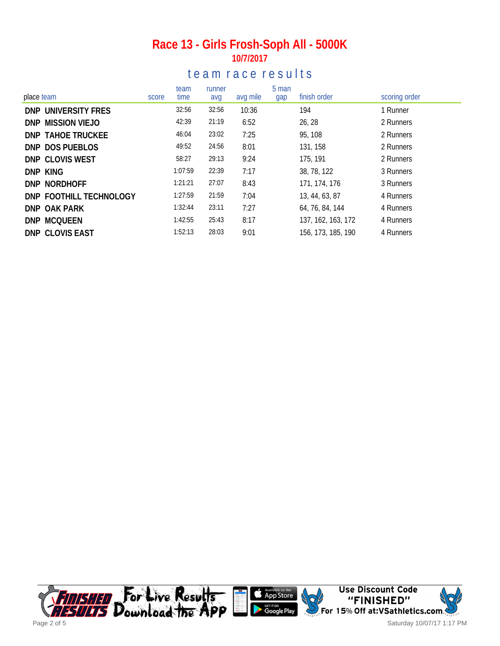### **Race 13 - Girls Frosh-Soph All - 5000K 10/7/2017**

### te a m r a c e r e sults

| place team               | score | team<br>time | runner<br>avg | avg mile | 5 man<br>gap | finish order       | scoring order |
|--------------------------|-------|--------------|---------------|----------|--------------|--------------------|---------------|
| DNP UNIVERSITY FRES      |       | 32:56        | 32:56         | 10:36    |              | 194                | 1 Runner      |
| DNP MISSION VIEJO        |       | 42:39        | 21:19         | 6:52     |              | 26, 28             | 2 Runners     |
| <b>DNP TAHOE TRUCKEE</b> |       | 46:04        | 23:02         | 7:25     |              | 95, 108            | 2 Runners     |
| DNP DOS PUEBLOS          |       | 49:52        | 24:56         | 8:01     |              | 131, 158           | 2 Runners     |
| DNP CLOVIS WEST          |       | 58:27        | 29:13         | 9:24     |              | 175, 191           | 2 Runners     |
| DNP KING                 |       | 1:07:59      | 22:39         | 7:17     |              | 38, 78, 122        | 3 Runners     |
| DNP NORDHOFF             |       | 1:21:21      | 27:07         | 8:43     |              | 171, 174, 176      | 3 Runners     |
| DNP FOOTHILL TECHNOLOGY  |       | 1:27:59      | 21:59         | 7:04     |              | 13, 44, 63, 87     | 4 Runners     |
| DNP OAK PARK             |       | 1:32:44      | 23:11         | 7:27     |              | 64, 76, 84, 144    | 4 Runners     |
| <b>DNP MCQUEEN</b>       |       | 1:42:55      | 25:43         | 8:17     |              | 137, 162, 163, 172 | 4 Runners     |
| <b>DNP CLOVIS EAST</b>   |       | 1:52:13      | 28:03         | 9:01     |              | 156, 173, 185, 190 | 4 Runners     |

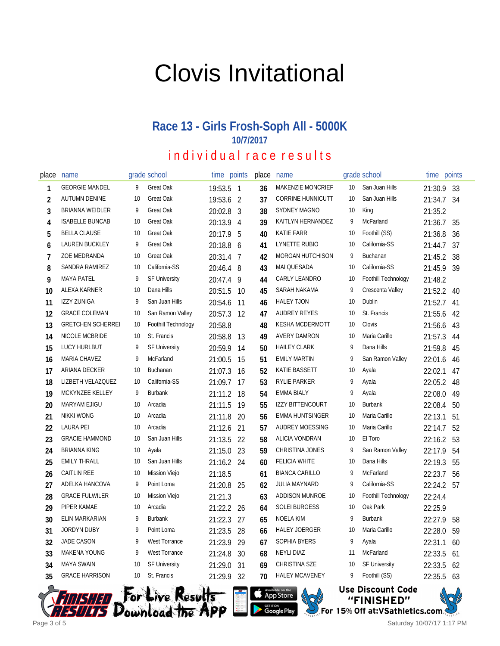# Clovis Invitational

## **Race 13 - Girls Frosh-Soph All - 5000K 10/7/2017**

## individual race results

| place          | name                     |    | grade school         | time points |     | place | name                     |    | grade school         | time       | points |
|----------------|--------------------------|----|----------------------|-------------|-----|-------|--------------------------|----|----------------------|------------|--------|
| 1              | <b>GEORGIE MANDEL</b>    | 9  | Great Oak            | 19:53.5 1   |     | 36    | <b>MAKENZIE MONCRIEF</b> | 10 | San Juan Hills       | 21:30.9    | 33     |
| $\overline{2}$ | <b>AUTUMN DENINE</b>     | 10 | Great Oak            | 19:53.6 2   |     | 37    | <b>CORRINE HUNNICUTT</b> | 10 | San Juan Hills       | 21:34.7    | 34     |
| 3              | BRIANNA WEIDLER          | 9  | Great Oak            | 20:02.8 3   |     | 38    | <b>SYDNEY MAGNO</b>      | 10 | King                 | 21:35.2    |        |
| 4              | <b>ISABELLE BUNCAB</b>   | 10 | Great Oak            | 20:13.9 4   |     | 39    | KAITLYN HERNANDEZ        | 9  | McFarland            | 21:36.7    | 35     |
| 5              | <b>BELLA CLAUSE</b>      | 10 | Great Oak            | 20:17.9 5   |     | 40    | <b>KATIE FARR</b>        | 10 | Foothill (SS)        | 21:36.8    | 36     |
| 6              | <b>LAUREN BUCKLEY</b>    | 9  | <b>Great Oak</b>     | 20:18.8 6   |     | 41    | LYNETTE RUBIO            | 10 | California-SS        | 21:44.7    | 37     |
| 7              | ZOE MEDRANDA             | 10 | Great Oak            | 20:31.4 7   |     | 42    | <b>MORGAN HUTCHISON</b>  | 9  | Buchanan             | 21:45.2    | 38     |
| 8              | SANDRA RAMIREZ           | 10 | California-SS        | 20:46.4 8   |     | 43    | <b>MAI QUESADA</b>       | 10 | California-SS        | 21:45.9    | 39     |
| 9              | <b>MAYA PATEL</b>        | 9  | <b>SF University</b> | 20:47.4     | 9   | 44    | CARLY LEANDRO            | 10 | Foothill Technology  | 21:48.2    |        |
| 10             | ALEXA KARNER             | 10 | Dana Hills           | 20:51.5     | 10  | 45    | SARAH NAKAMA             | 9  | Crescenta Valley     | 21:52.2    | 40     |
| 11             | IZZY ZUNIGA              | 9  | San Juan Hills       | 20:54.6     | 11  | 46    | <b>HALEY TJON</b>        | 10 | Dublin               | 21:52.7    | 41     |
| 12             | <b>GRACE COLEMAN</b>     | 10 | San Ramon Valley     | 20:57.3     | 12  | 47    | AUDREY REYES             | 10 | St. Francis          | 21:55.6    | 42     |
| 13             | <b>GRETCHEN SCHERREI</b> | 10 | Foothill Technology  | 20:58.8     |     | 48    | KESHA MCDERMOTT          | 10 | Clovis               | 21:56.6    | 43     |
| 14             | NICOLE MCBRIDE           | 10 | St. Francis          | 20:58.8     | 13  | 49    | <b>AVERY DAMRON</b>      | 10 | Maria Carillo        | 21:57.3    | 44     |
| 15             | <b>LUCY HURLBUT</b>      | 9  | <b>SF University</b> | 20:59.9     | 14  | 50    | <b>HAILEY CLARK</b>      | 9  | Dana Hills           | 21:59.8    | 45     |
| 16             | MARIA CHAVEZ             | 9  | McFarland            | 21:00.5     | 15  | 51    | <b>EMILY MARTIN</b>      | 9  | San Ramon Valley     | 22:01.6    | 46     |
| 17             | ARIANA DECKER            | 10 | Buchanan             | 21:07.3     | 16  | 52    | <b>KATIE BASSETT</b>     | 10 | Ayala                | 22:02.1    | 47     |
| 18             | LIZBETH VELAZQUEZ        | 10 | California-SS        | 21:09.7     | 17  | 53    | <b>RYLIE PARKER</b>      | 9  | Ayala                | 22:05.2    | 48     |
| 19             | MCKYNZEE KELLEY          | 9  | <b>Burbank</b>       | 21:11.2     | -18 | 54    | <b>EMMA BIALY</b>        | 9  | Ayala                | 22:08.0    | 49     |
| 20             | MARYAM EJIGU             | 10 | Arcadia              | 21:11.5     | 19  | 55    | <b>IZZY BITTENCOURT</b>  | 10 | <b>Burbank</b>       | 22:08.4    | 50     |
| 21             | <b>NIKKI WONG</b>        | 10 | Arcadia              | 21:11.8     | 20  | 56    | <b>EMMA HUNTSINGER</b>   | 10 | Maria Carillo        | 22:13.1    | 51     |
| 22             | <b>LAURA PEI</b>         | 10 | Arcadia              | 21:12.6     | 21  | 57    | <b>AUDREY MOESSING</b>   | 10 | Maria Carillo        | 22:14.7    | 52     |
| 23             | <b>GRACIE HAMMOND</b>    | 10 | San Juan Hills       | 21:13.5     | 22  | 58    | ALICIA VONDRAN           | 10 | El Toro              | 22:16.2    | 53     |
| 24             | <b>BRIANNA KING</b>      | 10 | Ayala                | 21:15.0     | 23  | 59    | <b>CHRISTINA JONES</b>   | 9  | San Ramon Valley     | 22:17.9    | 54     |
| 25             | <b>EMILY THRALL</b>      | 10 | San Juan Hills       | 21:16.2 24  |     | 60    | <b>FELICIA WHITE</b>     | 10 | Dana Hills           | 22:19.3    | 55     |
| 26             | <b>CAITLIN REE</b>       | 10 | Mission Viejo        | 21:18.5     |     | 61    | <b>BIANCA CARILLO</b>    | 9  | McFarland            | 22:23.7    | 56     |
| 27             | ADELKA HANCOVA           | 9  | Point Loma           | 21:20.8     | 25  | 62    | <b>JULIA MAYNARD</b>     | 9  | California-SS        | 22:24.2 57 |        |
| 28             | <b>GRACE FULWILER</b>    | 10 | Mission Viejo        | 21:21.3     |     | 63    | <b>ADDISON MUNROE</b>    | 10 | Foothill Technology  | 22:24.4    |        |
| 29             | PIPER KAMAE              | 10 | Arcadia              | 21:22.2     | 26  | 64    | <b>SOLEI BURGESS</b>     | 10 | Oak Park             | 22:25.9    |        |
| 30             | ELIN MARKARIAN           | 9  | <b>Burbank</b>       | 21:22.3     | 27  | 65    | <b>NOELA KIM</b>         | 9  | <b>Burbank</b>       | 22:27.9    | 58     |
| 31             | <b>JORDYN DUBY</b>       | 9  | Point Loma           | 21:23.5     | 28  | 66    | HALEY JOERGER            | 10 | Maria Carillo        | 22:28.0    | 59     |
| 32             | JADE CASON               | 9  | <b>West Torrance</b> | 21:23.9     | 29  | 67    | <b>SOPHIA BYERS</b>      | 9  | Ayala                | 22:31.1    | 60     |
| 33             | <b>MAKENA YOUNG</b>      | 9  | <b>West Torrance</b> | 21:24.8     | 30  | 68    | <b>NEYLI DIAZ</b>        | 11 | McFarland            | 22:33.5    | 61     |
| 34             | <b>MAYA SWAIN</b>        | 10 | <b>SF University</b> | 21:29.0     | 31  | 69    | CHRISTINA SZE            | 10 | <b>SF University</b> | 22:33.5    | 62     |
| 35             | <b>GRACE HARRISON</b>    | 10 | St. Francis          | 21:29.9     | 32  | 70    | <b>HALEY MCAVENEY</b>    | 9  | Foothill (SS)        | 22:35.5    | 63     |





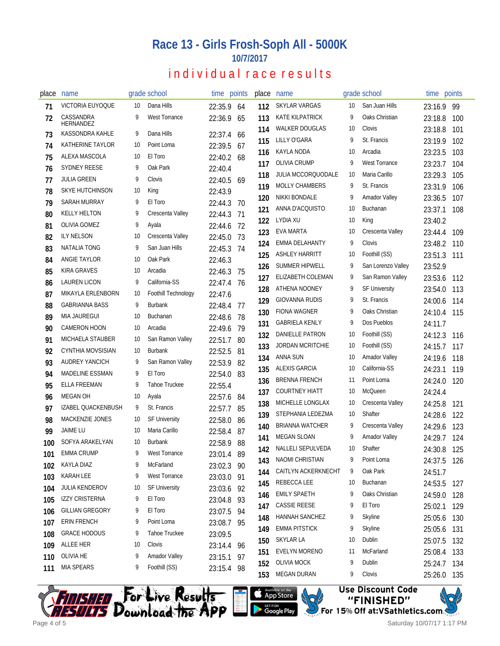#### **Race 13 - Girls Frosh-Soph All - 5000K 10/7/2017**

## individual race results

| place    | name                                    |    | grade school         |                    | time points | place | name                      |    | grade school         | time points |     |
|----------|-----------------------------------------|----|----------------------|--------------------|-------------|-------|---------------------------|----|----------------------|-------------|-----|
| 71       | VICTORIA EUYOQUE                        | 10 | Dana Hills           | 22:35.9            | 64          | 112   | SKYLAR VARGAS             | 10 | San Juan Hills       | 23:16.9     | -99 |
| 72       | CASSANDRA<br>HERNANDEZ                  | 9  | <b>West Torrance</b> | 22:36.9            | 65          | 113   | <b>KATE KILPATRICK</b>    | 9  | Oaks Christian       | 23:18.8     | 100 |
| 73       | <b>KASSONDRA KAHLE</b>                  | 9  | Dana Hills           | 22:37.4            | -66         | 114   | <b>WALKER DOUGLAS</b>     | 10 | Clovis               | 23:18.8     | 101 |
| 74       | KATHERINE TAYLOR                        | 10 | Point Loma           | 22:39.5            | 67          | 115   | LILLY O'GARA              | 9  | St. Francis          | 23:19.9     | 102 |
| 75       | ALEXA MASCOLA                           | 10 | El Toro              | 22:40.2            | 68          | 116   | <b>KAYLA NODA</b>         | 10 | Arcadia              | 23:23.5     | 103 |
| 76       | <b>SYDNEY REESE</b>                     | 9  | Oak Park             | 22:40.4            |             | 117   | <b>OLIVIA CRUMP</b>       | 9  | West Torrance        | 23:23.7     | 104 |
| 77       | JULIA GREEN                             | 9  | Clovis               | 22:40.5            | 69          | 118   | <b>JULIA MCCORQUODALE</b> | 10 | Maria Carillo        | 23:29.3     | 105 |
| 78       | <b>SKYE HUTCHINSON</b>                  | 10 | King                 | 22:43.9            |             | 119   | <b>MOLLY CHAMBERS</b>     | 9  | St. Francis          | 23:31.9     | 106 |
| 79       | SARAH MURRAY                            | 9  | El Toro              | 22:44.3            | -70         | 120   | <b>NIKKI BONDALE</b>      | 9  | <b>Amador Valley</b> | 23:36.5     | 107 |
| 80       | <b>KELLY HELTON</b>                     | 9  | Crescenta Valley     | 22:44.3            | -71         | 121   | ANNA D'ACQUISTO           | 10 | Buchanan             | 23:37.1     | 108 |
| 81       | OLIVIA GOMEZ                            | 9  | Ayala                | 22:44.6 72         |             | 122   | LYDIA XU                  | 10 | King                 | 23:40.2     |     |
| 82       | <b>ILY NELSON</b>                       | 10 | Crescenta Valley     | 22:45.0 73         |             | 123   | EVA MARTA                 | 10 | Crescenta Valley     | 23:44.4     | 109 |
| 83       | NATALIA TONG                            | 9  | San Juan Hills       | 22:45.3 74         |             | 124   | EMMA DELAHANTY            | 9  | Clovis               | 23:48.2     | 110 |
| 84       | ANGIE TAYLOR                            | 10 | Oak Park             | 22:46.3            |             | 125   | <b>ASHLEY HARRITT</b>     | 10 | Foothill (SS)        | 23:51.3     | 111 |
| 85       | <b>KIRA GRAVES</b>                      | 10 | Arcadia              | 22:46.3            | -75         | 126   | <b>SUMMER HIPWELL</b>     | 9  | San Lorenzo Valley   | 23:52.9     |     |
| 86       | LAUREN LICON                            | 9  | California-SS        | 22:47.4 76         |             | 127   | ELIZABETH COLEMAN         | 9  | San Ramon Valley     | 23:53.6     | 112 |
| 87       | MIKAYLA ERLENBORN                       | 10 | Foothill Technology  | 22:47.6            |             | 128   | ATHENA NOONEY             | 9  | <b>SF University</b> | 23:54.0     | 113 |
| 88       | <b>GABRIANNA BASS</b>                   | 9  | <b>Burbank</b>       | 22:48.4            | - 77        | 129   | <b>GIOVANNA RUDIS</b>     | 9  | St. Francis          | 24:00.6     | 114 |
| 89       | <b>MIA JAUREGUI</b>                     | 10 | <b>Buchanan</b>      | 22:48.6            | - 78        | 130   | <b>FIONA WAGNER</b>       | 9  | Oaks Christian       | 24:10.4     | 115 |
| 90       | <b>CAMERON HOON</b>                     | 10 | Arcadia              | 22:49.6            | 79          | 131   | <b>GABRIELA KENLY</b>     | 9  | Dos Pueblos          | 24:11.7     |     |
| 91       | MICHAELA STAUBER                        | 10 | San Ramon Valley     |                    | 80          | 132   | DANIELLE PATRON           | 10 | Foothill (SS)        | 24:12.3     | 116 |
|          | CYNTHIA MOVSISIAN                       | 10 | <b>Burbank</b>       | 22:51.7            |             | 133   | <b>JORDAN MCRITCHIE</b>   | 10 | Foothill (SS)        | 24:15.7     | 117 |
| 92<br>93 | <b>AUDREY YANCICH</b>                   | 9  | San Ramon Valley     | 22:52.5<br>22:53.9 | 81          | 134   | <b>ANNA SUN</b>           | 10 | <b>Amador Valley</b> | 24:19.6     | 118 |
| 94       | <b>MADELINE ESSMAN</b>                  | 9  | El Toro              | 22:54.0            | 82<br>-83   | 135   | ALEXIS GARCIA             | 10 | California-SS        | 24:23.1     | 119 |
| 95       | ELLA FREEMAN                            | 9  | Tahoe Truckee        |                    |             | 136   | <b>BRENNA FRENCH</b>      | 11 | Point Loma           | 24:24.0     | 120 |
|          | MEGAN OH                                | 10 | Ayala                | 22:55.4            |             | 137   | <b>COURTNEY HIATT</b>     | 10 | <b>McQueen</b>       | 24:24.4     |     |
| 96<br>97 | IZABEL QUACKENBUSH                      | 9  | St. Francis          | 22:57.6 84         |             | 138   | <b>MICHELLE LONGLAX</b>   | 10 | Crescenta Valley     | 24:25.8     | 121 |
|          | MACKENZIE JONES                         | 10 | <b>SF University</b> | 22:57.7            | 85          | 139   | STEPHANIA LEDEZMA         | 10 | Shafter              | 24:28.6     | 122 |
| 98       | <b>JAIME LU</b>                         | 10 | Maria Carillo        | 22:58.0            | -86         | 140   | <b>BRIANNA WATCHER</b>    | 9  | Crescenta Valley     | 24:29.6     | 123 |
| 99       | SOFYA ARAKELYAN                         | 10 | <b>Burbank</b>       | 22:58.4            | 87          | 141   | <b>MEGAN SLOAN</b>        | 9  | <b>Amador Valley</b> | 24:29.7     | 124 |
| 100      | EMMA CRUMP                              | 9  | West Torrance        | 22:58.9            | 88          | 142   | <b>NALLELI SEPULVEDA</b>  | 10 | Shafter              | 24:30.8 125 |     |
| 101      | <b>KAYLA DIAZ</b>                       | 9  | McFarland            | 23:01.4 89         |             | 143   | <b>NAOMI CHRISTIAN</b>    | 9  | Point Loma           | 24:37.5 126 |     |
| 102      | KARAH LEE                               |    | West Torrance        | 23:02.3 90         |             | 144   | CAITLYN ACKERKNECHT       | 9  | Oak Park             | 24:51.7     |     |
| 103      |                                         | 9  |                      | 23:03.0 91         |             | 145   | REBECCA LEE               | 10 | Buchanan             | 24:53.5     | 127 |
| 104      | JULIA KENDEROV<br><b>IZZY CRISTERNA</b> | 10 | <b>SF University</b> | 23:03.6 92         |             | 146   | <b>EMILY SPAETH</b>       | 9  | Oaks Christian       | 24:59.0     | 128 |
| 105      | <b>GILLIAN GREGORY</b>                  | 9  | El Toro<br>El Toro   | 23:04.8 93         |             | 147   | <b>CASSIE REESE</b>       | 9  | El Toro              | 25:02.1     | 129 |
| 106      |                                         | 9  |                      | 23:07.5 94         |             | 148   | HANNAH SANCHEZ            | 9  | Skyline              | 25:05.6     | 130 |
| 107      | ERIN FRENCH                             | 9  | Point Loma           | 23:08.7 95         |             | 149   | <b>EMMA PITSTICK</b>      | 9  | Skyline              | 25:05.6     | 131 |
| 108      | <b>GRACE HODOUS</b>                     | 9  | Tahoe Truckee        | 23:09.5            |             | 150   | SKYLAR LA                 | 10 | Dublin               | 25:07.5     | 132 |
| 109      | ALLEE HER                               | 10 | Clovis               | 23:14.4 96         |             | 151   | EVELYN MORENO             | 11 | McFarland            | 25:08.4     | 133 |
| 110      | OLIVIA HE                               | 9  | <b>Amador Valley</b> | 23:15.1 97         |             | 152   | <b>OLIVIA MOCK</b>        | 9  | Dublin               | 25:24.7     | 134 |
| 111      | <b>MIA SPEARS</b>                       | 9  | Foothill (SS)        | 23:15.4 98         |             | 153   | <b>MEGAN DURAN</b>        | 9  | Clovis               | 25:26.0 135 |     |







Saturday 10/07/17 1:17 PM